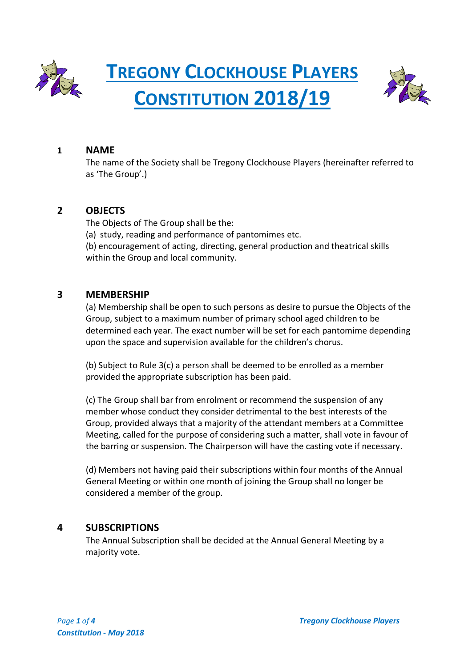

**TREGONY CLOCKHOUSE PLAYERS CONSTITUTION 2018/19**



### **1 NAME**

The name of the Society shall be Tregony Clockhouse Players (hereinafter referred to as 'The Group'.)

### **2 OBJECTS**

The Objects of The Group shall be the: (a) study, reading and performance of pantomimes etc. (b) encouragement of acting, directing, general production and theatrical skills within the Group and local community.

### **3 MEMBERSHIP**

(a) Membership shall be open to such persons as desire to pursue the Objects of the Group, subject to a maximum number of primary school aged children to be determined each year. The exact number will be set for each pantomime depending upon the space and supervision available for the children's chorus.

(b) Subject to Rule 3(c) a person shall be deemed to be enrolled as a member provided the appropriate subscription has been paid.

(c) The Group shall bar from enrolment or recommend the suspension of any member whose conduct they consider detrimental to the best interests of the Group, provided always that a majority of the attendant members at a Committee Meeting, called for the purpose of considering such a matter, shall vote in favour of the barring or suspension. The Chairperson will have the casting vote if necessary.

(d) Members not having paid their subscriptions within four months of the Annual General Meeting or within one month of joining the Group shall no longer be considered a member of the group.

## **4 SUBSCRIPTIONS**

The Annual Subscription shall be decided at the Annual General Meeting by a majority vote.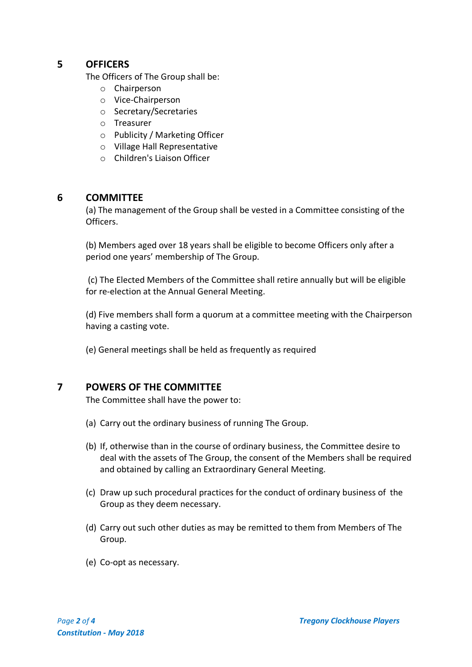## **5 OFFICERS**

The Officers of The Group shall be:

- o Chairperson
- o Vice-Chairperson
- o Secretary/Secretaries
- o Treasurer
- o Publicity / Marketing Officer
- o Village Hall Representative
- o Children's Liaison Officer

## **6 COMMITTEE**

(a) The management of the Group shall be vested in a Committee consisting of the Officers.

(b) Members aged over 18 years shall be eligible to become Officers only after a period one years' membership of The Group.

(c) The Elected Members of the Committee shall retire annually but will be eligible for re-election at the Annual General Meeting.

(d) Five members shall form a quorum at a committee meeting with the Chairperson having a casting vote.

(e) General meetings shall be held as frequently as required

# **7 POWERS OF THE COMMITTEE**

The Committee shall have the power to:

- (a) Carry out the ordinary business of running The Group.
- (b) If, otherwise than in the course of ordinary business, the Committee desire to deal with the assets of The Group, the consent of the Members shall be required and obtained by calling an Extraordinary General Meeting.
- (c) Draw up such procedural practices for the conduct of ordinary business of the Group as they deem necessary.
- (d) Carry out such other duties as may be remitted to them from Members of The Group.
- (e) Co-opt as necessary.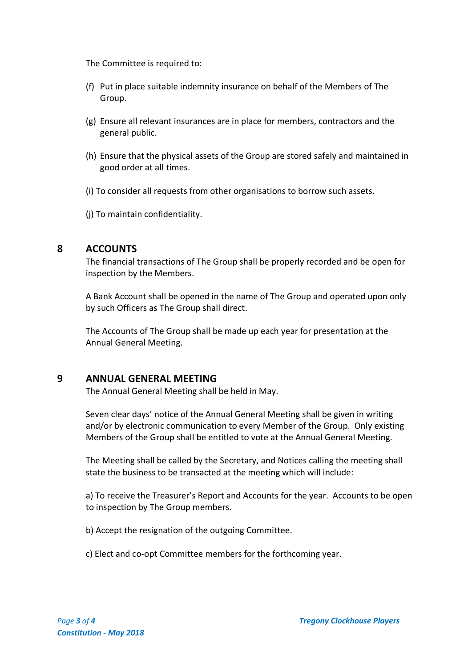The Committee is required to:

- (f) Put in place suitable indemnity insurance on behalf of the Members of The Group.
- (g) Ensure all relevant insurances are in place for members, contractors and the general public.
- (h) Ensure that the physical assets of the Group are stored safely and maintained in good order at all times.
- (i) To consider all requests from other organisations to borrow such assets.
- (j) To maintain confidentiality.

## **8 ACCOUNTS**

The financial transactions of The Group shall be properly recorded and be open for inspection by the Members.

A Bank Account shall be opened in the name of The Group and operated upon only by such Officers as The Group shall direct.

The Accounts of The Group shall be made up each year for presentation at the Annual General Meeting.

## **9 ANNUAL GENERAL MEETING**

The Annual General Meeting shall be held in May.

Seven clear days' notice of the Annual General Meeting shall be given in writing and/or by electronic communication to every Member of the Group. Only existing Members of the Group shall be entitled to vote at the Annual General Meeting.

The Meeting shall be called by the Secretary, and Notices calling the meeting shall state the business to be transacted at the meeting which will include:

a) To receive the Treasurer's Report and Accounts for the year. Accounts to be open to inspection by The Group members.

b) Accept the resignation of the outgoing Committee.

c) Elect and co-opt Committee members for the forthcoming year.